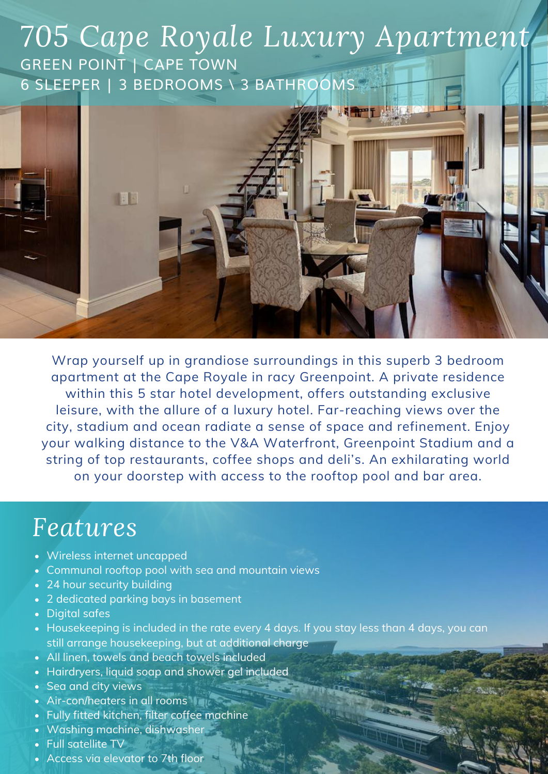### *705 Cape Royale Luxury Apartment* GREEN POINT | CAPE TOWN 6 SLEEPER | 3 BEDROOMS \ 3 BATHROOMS



Wrap yourself up in grandiose surroundings in this superb 3 bedroom apartment at the Cape Royale in racy Greenpoint. A private residence within this 5 star hotel development, offers outstanding exclusive leisure, with the allure of a luxury hotel. Far-reaching views over the city, stadium and ocean radiate a sense of space and refinement. Enjoy your walking distance to the V&A Waterfront, Greenpoint Stadium and a string of top restaurants, coffee shops and deli's. An exhilarating world on your doorstep with access to the rooftop pool and bar area.

### *Features*

- Wireless internet uncapped
- Communal rooftop pool with sea and mountain views
- 24 hour security building
- 2 dedicated parking bays in basement
- Digital safes
- Housekeeping is included in the rate every 4 days. If you stay less than 4 days, you can still arrange housekeeping, but at additional charge
- All linen, towels and beach towels included
- Hairdryers, liquid soap and shower gel included
- Sea and city views
- Air-con/heaters in all rooms
- Fully fitted kitchen, filter coffee machine
- Washing machine, dishwasher
- Full satellite TV
- Access via elevator to 7th floor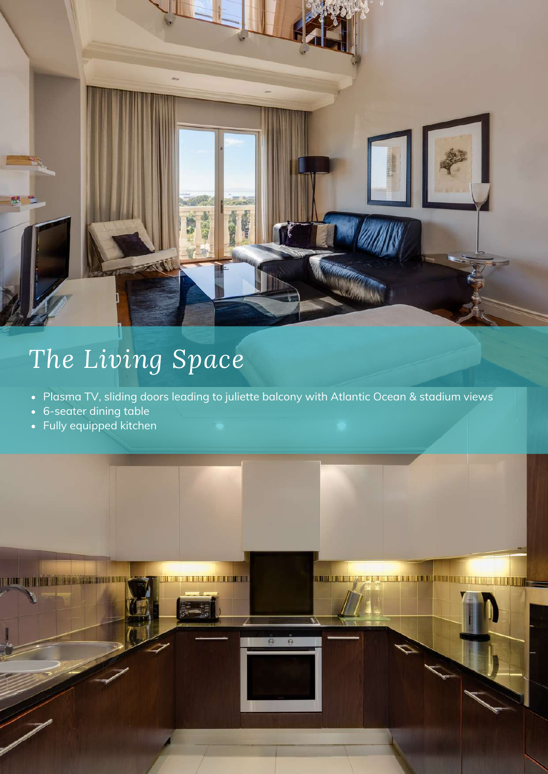

# *The Living Space*

- Plasma TV, sliding doors leading to juliette balcony with Atlantic Ocean & stadium views
- 6-seater dining table
- Fully equipped kitchen

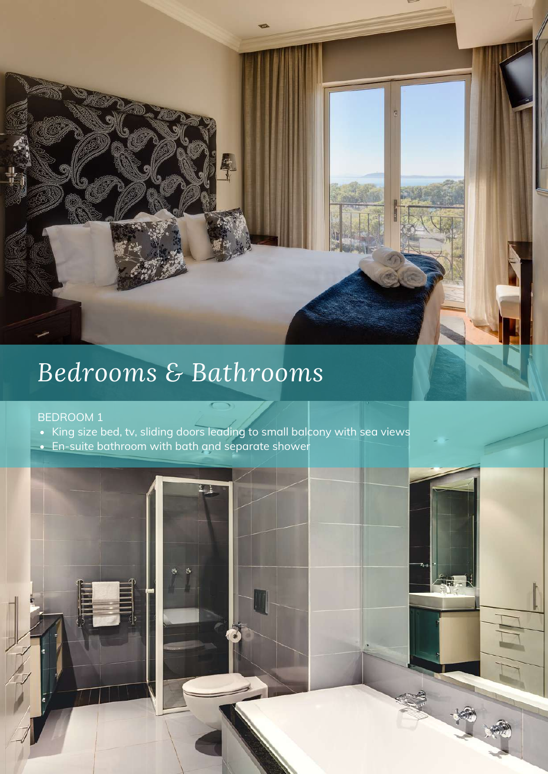## *Bedrooms & Bathrooms*

#### BEDROOM 1

- King size bed, tv, sliding doors leading to small balcony with sea views
- En-suite bathroom with bath and separate shower

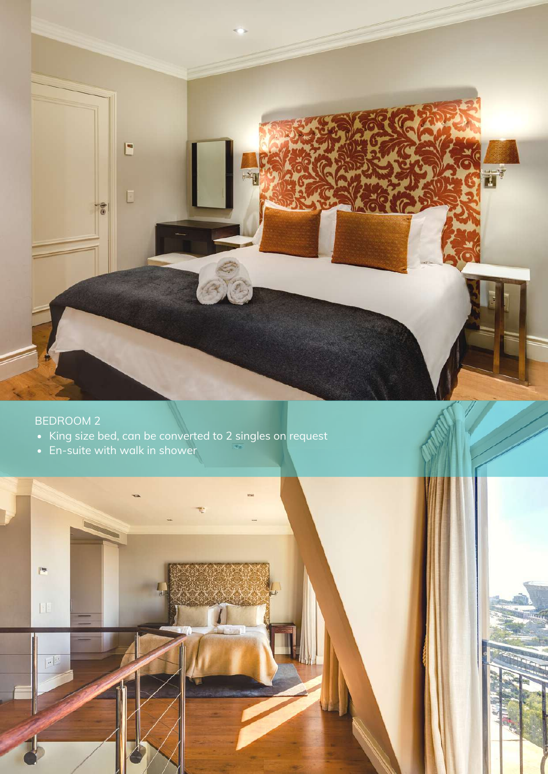

#### BEDROOM 2

- King size bed, can be converted to 2 singles on request
- En-suite with walk in shower